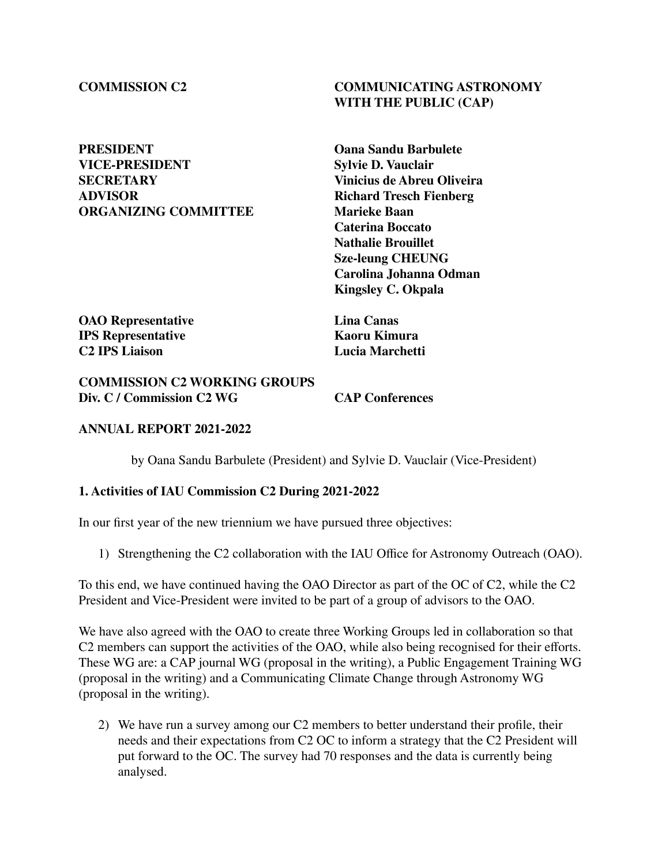# **PRESIDENT Oana Sandu Barbulete VICE-PRESIDENT Sylvie D. Vauclair SECRETARY Vinicius de Abreu Oliveira ORGANIZING COMMITTEE**

## **COMMISSION C2 COMMUNICATING ASTRONOMY WITH THE PUBLIC (CAP)**

**Richard Tresch Fienberg**<br>Marieke Baan **Caterina Boccato Nathalie Brouillet Sze-leung CHEUNG Carolina Johanna Odman Kingsley C. Okpala**

**OAO Representative Lina Canas IPS Representative Kaoru Kimura**<br> **C2 IPS** Liaison **Kaoru Kaoru Kimura** 

**C2 IPS Liaison Lucia Marchetti**

#### **COMMISSION C2 WORKING GROUPS Div. C / Commission C2 WG CAP Conferences**

### **ANNUAL REPORT 2021-2022**

by Oana Sandu Barbulete (President) and Sylvie D. Vauclair (Vice-President)

#### **1. Activities of IAU Commission C2 During 2021-2022**

In our first year of the new triennium we have pursued three objectives:

1) Strengthening the C2 collaboration with the IAU Office for Astronomy Outreach (OAO).

To this end, we have continued having the OAO Director as part of the OC of C2, while the C2 President and Vice-President were invited to be part of a group of advisors to the OAO.

We have also agreed with the OAO to create three Working Groups led in collaboration so that C2 members can support the activities of the OAO, while also being recognised for their efforts. These WG are: a CAP journal WG (proposal in the writing), a Public Engagement Training WG (proposal in the writing) and a Communicating Climate Change through Astronomy WG (proposal in the writing).

2) We have run a survey among our C2 members to better understand their profile, their needs and their expectations from C2 OC to inform a strategy that the C2 President will put forward to the OC. The survey had 70 responses and the data is currently being analysed.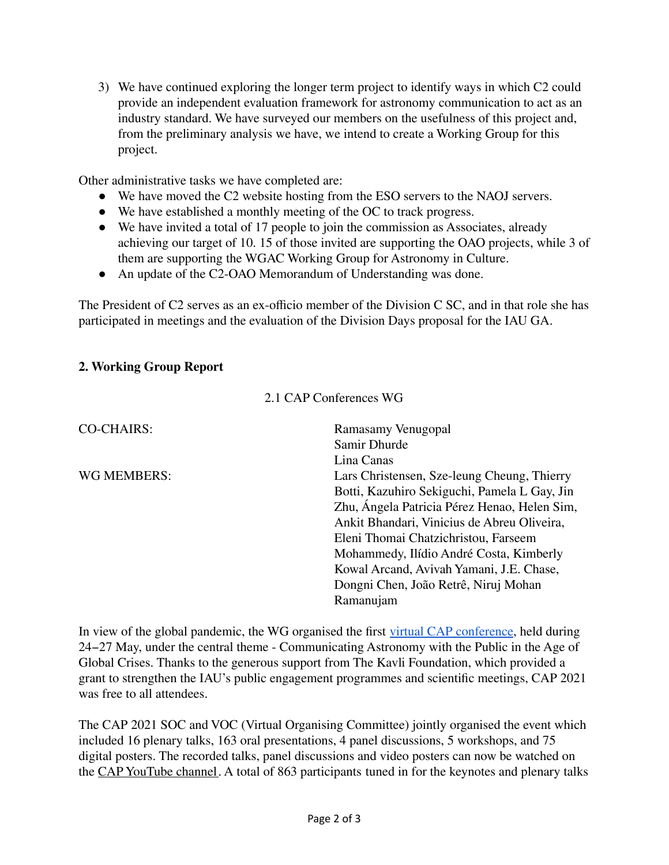3) We have continued exploring the longer term project to identify ways in which C2 could provide an independent evaluation framework for astronomy communication to act as an industry standard. We have surveyed our members on the usefulness of this project and, from the preliminary analysis we have, we intend to create a Working Group for this project.

Other administrative tasks we have completed are:

- We have moved the C2 website hosting from the ESO servers to the NAOJ servers.
- We have established a monthly meeting of the OC to track progress.
- We have invited a total of 17 people to join the commission as Associates, already achieving our target of 10. 15 of those invited are supporting the OAO projects, while 3 of them are supporting the WGAC Working Group for Astronomy in Culture.
- An update of the C2-OAO Memorandum of Understanding was done.

The President of C2 serves as an ex-officio member of the Division C SC, and in that role she has participated in meetings and the evaluation of the Division Days proposal for the IAU GA.

# **2. Working Group Report**

2.1 CAP Conferences WG

| <b>CO-CHAIRS:</b> | Ramasamy Venugopal                           |
|-------------------|----------------------------------------------|
|                   | Samir Dhurde                                 |
|                   | Lina Canas                                   |
| WG MEMBERS:       | Lars Christensen, Sze-leung Cheung, Thierry  |
|                   | Botti, Kazuhiro Sekiguchi, Pamela L Gay, Jin |
|                   | Zhu, Ángela Patricia Pérez Henao, Helen Sim, |
|                   | Ankit Bhandari, Vinicius de Abreu Oliveira,  |
|                   | Eleni Thomai Chatzichristou, Farseem         |
|                   | Mohammedy, Ilídio André Costa, Kimberly      |
|                   | Kowal Arcand, Avivah Yamani, J.E. Chase,     |
|                   | Dongni Chen, João Retrê, Niruj Mohan         |
|                   | Ramanujam                                    |

In view of the global pandemic, the WG organised the first virtual CAP [conference](https://www.communicatingastronomy.org/cap2021/), held during 24−27 May, under the central theme - Communicating Astronomy with the Public in the Age of Global Crises. Thanks to the generous support from The Kavli Foundation, which provided a grant to strengthen the IAU's public engagement programmes and scientific meetings, CAP 2021 was free to all attendees.

The CAP 2021 SOC and VOC (Virtual Organising Committee) jointly organised the event which included 16 plenary talks, 163 oral presentations, 4 panel discussions, 5 workshops, and 75 digital posters. The recorded talks, panel discussions and video posters can now be watched on the CAP [YouTube](https://www.youtube.com/IAUCAP) channel. A total of 863 participants tuned in for the keynotes and plenary talks